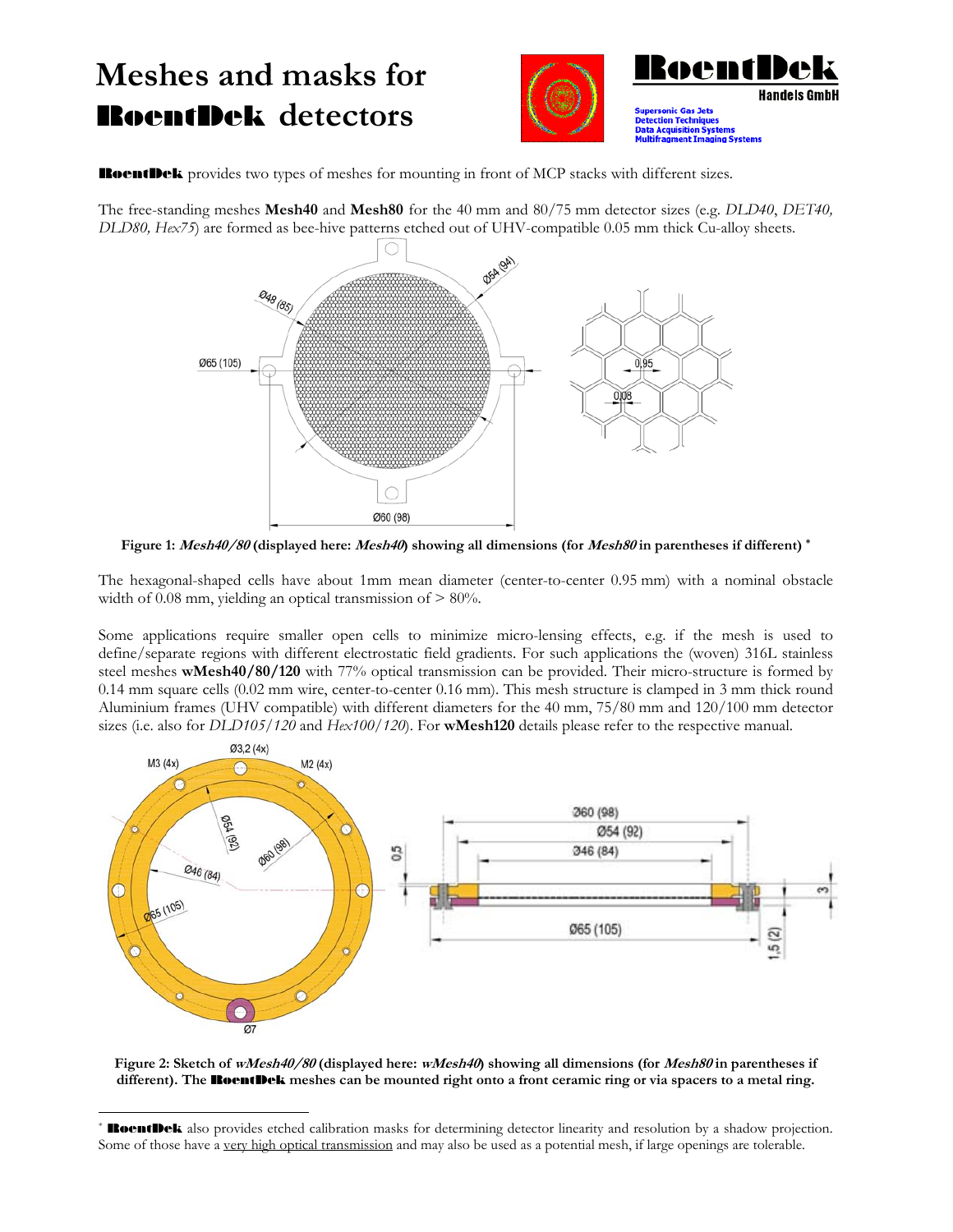## **Meshes and masks for**  RoentDek **detectors**

 $\overline{a}$ 





RoentDek provides two types of meshes for mounting in front of MCP stacks with different sizes.

The free-standing meshes **Mesh40** and **Mesh80** for the 40 mm and 80/75 mm detector sizes (e.g. *DLD40*, *DET40, DLD80, Hex75*) are formed as bee-hive patterns etched out of UHV-compatible 0.05 mm thick Cu-alloy sheets.



**Figure 1: Mesh40/80 (displayed here: Mesh40) showing all dimensions (for Mesh80 in parentheses if different) \***

The hexagonal-shaped cells have about 1mm mean diameter (center-to-center 0.95 mm) with a nominal obstacle width of  $0.08$  mm, yielding an optical transmission of  $> 80\%$ .

Some applications require smaller open cells to minimize micro-lensing effects, e.g. if the mesh is used to define/separate regions with different electrostatic field gradients. For such applications the (woven) 316L stainless steel meshes **wMesh40/80/120** with 77% optical transmission can be provided. Their micro-structure is formed by 0.14 mm square cells (0.02 mm wire, center-to-center 0.16 mm). This mesh structure is clamped in 3 mm thick round Aluminium frames (UHV compatible) with different diameters for the 40 mm, 75/80 mm and 120/100 mm detector sizes (i.e. also for *DLD105/120* and *Hex100/120*). For **wMesh120** details please refer to the respective manual.



**Figure 2: Sketch of wMesh40/80 (displayed here: wMesh40) showing all dimensions (for Mesh80 in parentheses if different). The** RoentDek **meshes can be mounted right onto a front ceramic ring or via spacers to a metal ring.**

**RoentDek** also provides etched calibration masks for determining detector linearity and resolution by a shadow projection. Some of those have a very high optical transmission and may also be used as a potential mesh, if large openings are tolerable.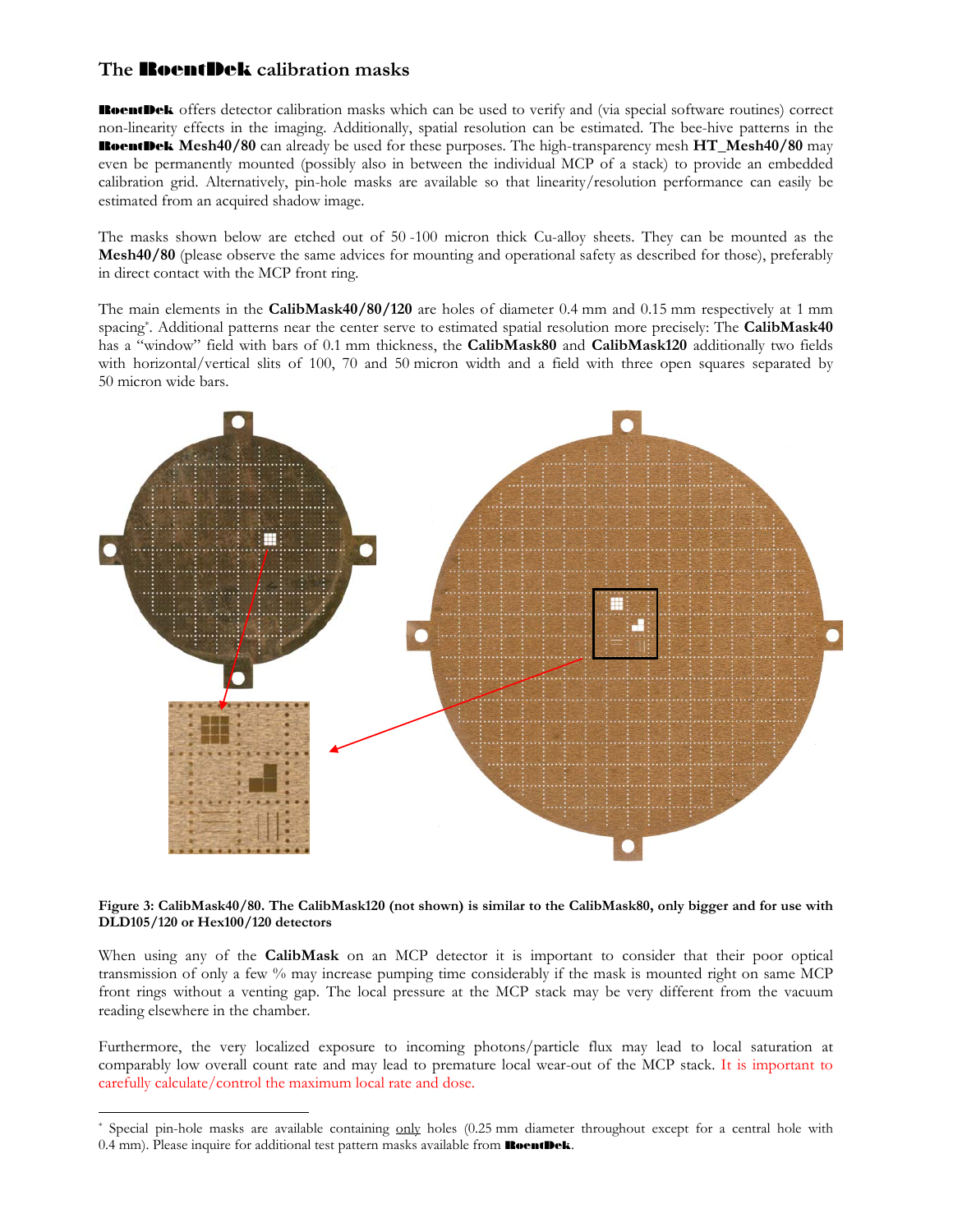## **The** RoentDek **calibration masks**

 $\overline{a}$ 

RoentDek offers detector calibration masks which can be used to verify and (via special software routines) correct non-linearity effects in the imaging. Additionally, spatial resolution can be estimated. The bee-hive patterns in the RoentDek **Mesh40/80** can already be used for these purposes. The high-transparency mesh **HT\_Mesh40/80** may even be permanently mounted (possibly also in between the individual MCP of a stack) to provide an embedded calibration grid. Alternatively, pin-hole masks are available so that linearity/resolution performance can easily be estimated from an acquired shadow image.

The masks shown below are etched out of 50 -100 micron thick Cu-alloy sheets. They can be mounted as the **Mesh40/80** (please observe the same advices for mounting and operational safety as described for those), preferably in direct contact with the MCP front ring.

The main elements in the **CalibMask40/80/120** are holes of diameter 0.4 mm and 0.15 mm respectively at 1 mm spacing\*. Additional patterns near the center serve to estimated spatial resolution more precisely: The **CalibMask40**  has a "window" field with bars of 0.1 mm thickness, the **CalibMask80** and **CalibMask120** additionally two fields with horizontal/vertical slits of 100, 70 and 50 micron width and a field with three open squares separated by 50 micron wide bars.



**Figure 3: CalibMask40/80. The CalibMask120 (not shown) is similar to the CalibMask80, only bigger and for use with DLD105/120 or Hex100/120 detectors** 

When using any of the **CalibMask** on an MCP detector it is important to consider that their poor optical transmission of only a few % may increase pumping time considerably if the mask is mounted right on same MCP front rings without a venting gap. The local pressure at the MCP stack may be very different from the vacuum reading elsewhere in the chamber.

Furthermore, the very localized exposure to incoming photons/particle flux may lead to local saturation at comparably low overall count rate and may lead to premature local wear-out of the MCP stack. It is important to carefully calculate/control the maximum local rate and dose.

<sup>\*</sup> Special pin-hole masks are available containing only holes (0.25 mm diameter throughout except for a central hole with 0.4 mm). Please inquire for additional test pattern masks available from **RoentDek**.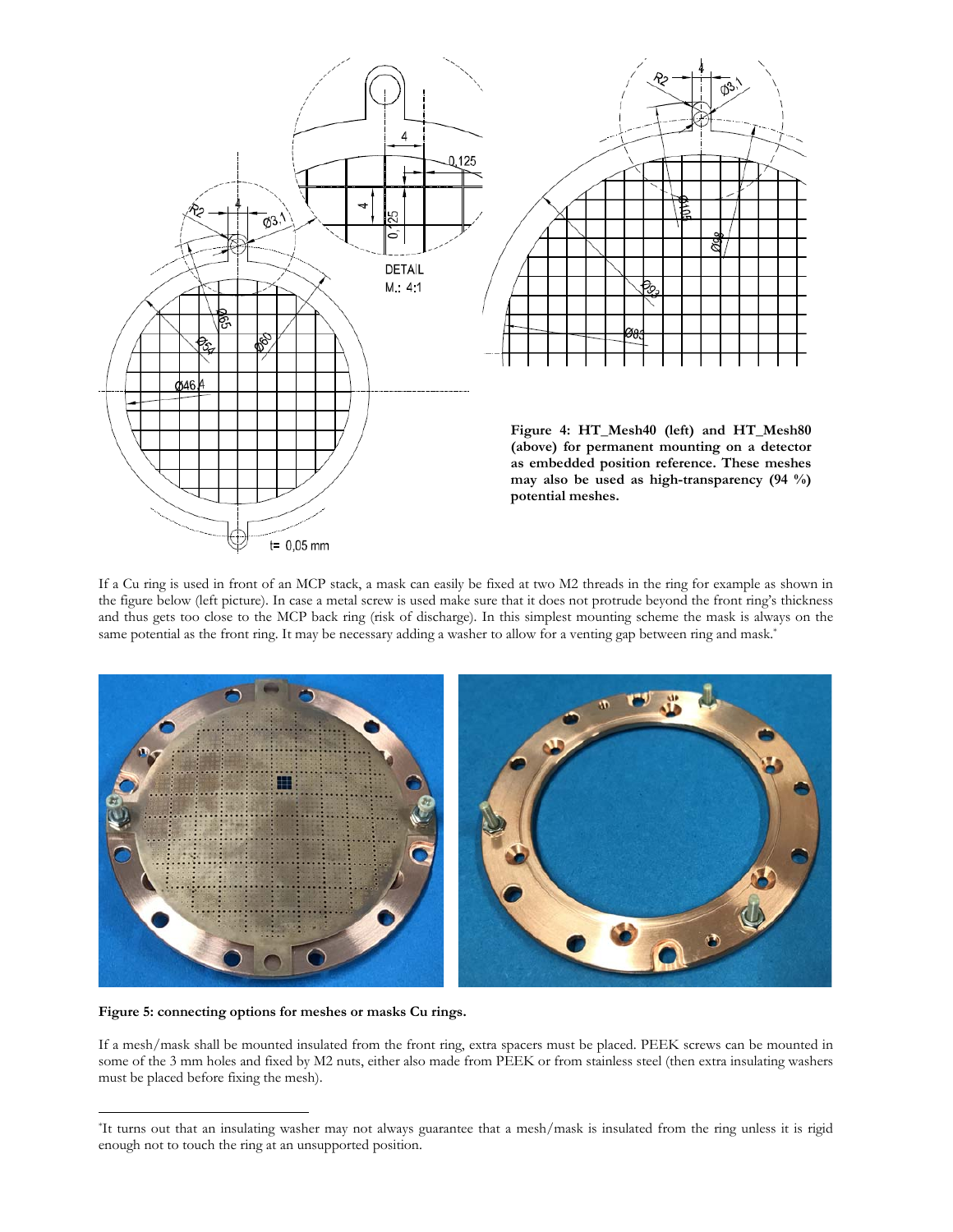

If a Cu ring is used in front of an MCP stack, a mask can easily be fixed at two M2 threads in the ring for example as shown in the figure below (left picture). In case a metal screw is used make sure that it does not protrude beyond the front ring's thickness and thus gets too close to the MCP back ring (risk of discharge). In this simplest mounting scheme the mask is always on the same potential as the front ring. It may be necessary adding a washer to allow for a venting gap between ring and mask.\*



**Figure 5: connecting options for meshes or masks Cu rings.** 

 $\overline{a}$ 

If a mesh/mask shall be mounted insulated from the front ring, extra spacers must be placed. PEEK screws can be mounted in some of the 3 mm holes and fixed by M2 nuts, either also made from PEEK or from stainless steel (then extra insulating washers must be placed before fixing the mesh).

<sup>\*</sup>It turns out that an insulating washer may not always guarantee that a mesh/mask is insulated from the ring unless it is rigid enough not to touch the ring at an unsupported position.